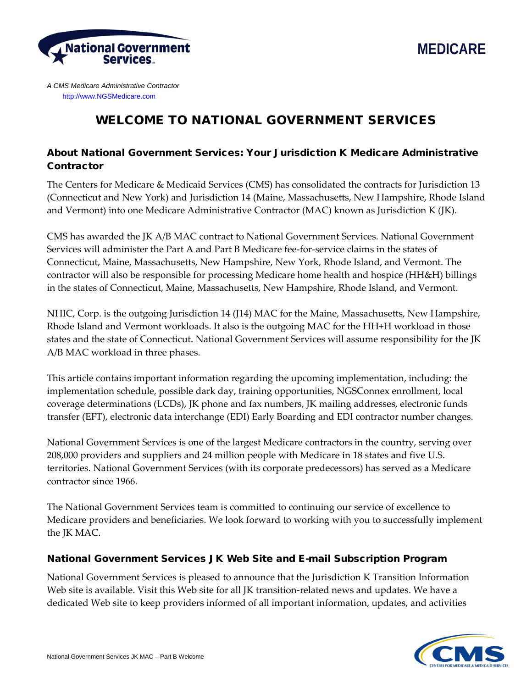



*A CMS Medicare Administrative Contractor* [http://www.NGSMedicare.com](http://www.ngsmedicare.com/)

# WELCOME TO NATIONAL GOVERNMENT SERVICES

# About National Government Services: Your Jurisdiction K Medicare Administrative Contractor

The Centers for Medicare & Medicaid Services (CMS) has consolidated the contracts for Jurisdiction 13 (Connecticut and New York) and Jurisdiction 14 (Maine, Massachusetts, New Hampshire, Rhode Island and Vermont) into one Medicare Administrative Contractor (MAC) known as Jurisdiction K (JK).

CMS has awarded the JK A/B MAC contract to National Government Services. National Government Services will administer the Part A and Part B Medicare fee-for-service claims in the states of Connecticut, Maine, Massachusetts, New Hampshire, New York, Rhode Island, and Vermont. The contractor will also be responsible for processing Medicare home health and hospice (HH&H) billings in the states of Connecticut, Maine, Massachusetts, New Hampshire, Rhode Island, and Vermont.

NHIC, Corp. is the outgoing Jurisdiction 14 (J14) MAC for the Maine, Massachusetts, New Hampshire, Rhode Island and Vermont workloads. It also is the outgoing MAC for the HH+H workload in those states and the state of Connecticut. National Government Services will assume responsibility for the JK A/B MAC workload in three phases.

This article contains important information regarding the upcoming implementation, including: the implementation schedule, possible dark day, training opportunities, NGSConnex enrollment, local coverage determinations (LCDs), JK phone and fax numbers, JK mailing addresses, electronic funds transfer (EFT), electronic data interchange (EDI) Early Boarding and EDI contractor number changes.

National Government Services is one of the largest Medicare contractors in the country, serving over 208,000 providers and suppliers and 24 million people with Medicare in 18 states and five U.S. territories. National Government Services (with its corporate predecessors) has served as a Medicare contractor since 1966.

The National Government Services team is committed to continuing our service of excellence to Medicare providers and beneficiaries. We look forward to working with you to successfully implement the JK MAC.

## National Government Services JK Web Site and E-mail Subscription Program

National Government Services is pleased to announce that the Jurisdiction K Transition Information Web site is available. Visit this Web site for all JK transition-related news and updates. We have a dedicated Web site to keep providers informed of all important information, updates, and activities

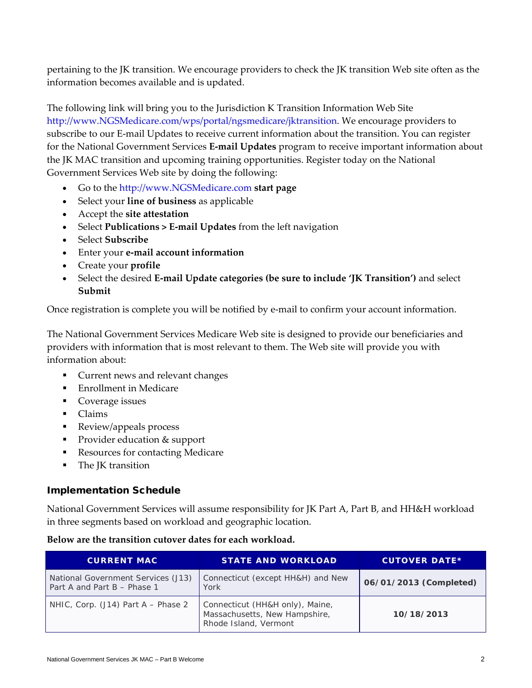pertaining to the JK transition. We encourage providers to check the JK transition Web site often as the information becomes available and is updated.

The following link will bring you to the Jurisdiction K Transition Information Web Site [http://www.NGSMedicare.com/wps/portal/ngsmedicare/jktransition.](http://www.ngsmedicare.com/wps/portal/ngsmedicare/jktransition) We encourage providers to subscribe to our E-mail Updates to receive current information about the transition. You can register for the National Government Services **E-mail Updates** program to receive important information about the JK MAC transition and upcoming training opportunities. Register today on the National Government Services Web site by doing the following:

- Go to the [http://www.NGSMedicare.com](http://www.ngsmedicare.com/wps/portal/ngsmedicare/welcome) **start page**
- Select your **line of business** as applicable
- Accept the **site attestation**
- Select **Publications > E-mail Updates** from the left navigation
- Select **Subscribe**
- Enter your **e-mail account information**
- Create your **profile**
- Select the desired **E-mail Update categories (be sure to include 'JK Transition')** and select **Submit**

Once registration is complete you will be notified by e-mail to confirm your account information.

The National Government Services Medicare Web site is designed to provide our beneficiaries and providers with information that is most relevant to them. The Web site will provide you with information about:

- Current news and relevant changes
- **Enrollment in Medicare**
- **Coverage issues**
- **Claims**
- **Review/appeals process**
- **Provider education & support**
- Resources for contacting Medicare
- The JK transition

## Implementation Schedule

National Government Services will assume responsibility for JK Part A, Part B, and HH&H workload in three segments based on workload and geographic location.

| Below are the transition cutover dates for each workload. |
|-----------------------------------------------------------|
|-----------------------------------------------------------|

| <b>CURRENT MAC</b>                                                | <b>STATE AND WORKLOAD</b>                                                                 | <b>CUTOVER DATE*</b>   |
|-------------------------------------------------------------------|-------------------------------------------------------------------------------------------|------------------------|
| National Government Services (J13)<br>Part A and Part B - Phase 1 | Connecticut (except HH&H) and New<br>York                                                 | 06/01/2013 (Completed) |
| NHIC, Corp. $(J14)$ Part A – Phase 2                              | Connecticut (HH&H only), Maine,<br>Massachusetts, New Hampshire,<br>Rhode Island, Vermont | 10/18/2013             |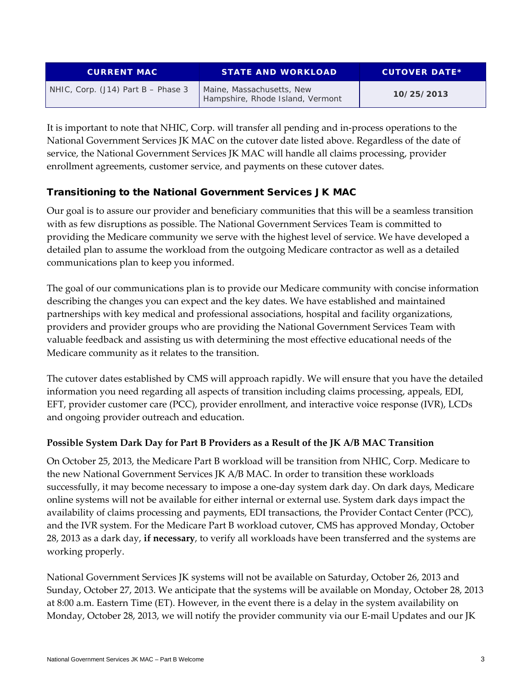| <b>CURRENT MAC</b>                 | <b>STATE AND WORKLOAD</b>                                     | <b>CUTOVER DATE*</b> |
|------------------------------------|---------------------------------------------------------------|----------------------|
| NHIC, Corp. (J14) Part B - Phase 3 | Maine, Massachusetts, New<br>Hampshire, Rhode Island, Vermont | 10/25/2013           |

It is important to note that NHIC, Corp. will transfer all pending and in-process operations to the National Government Services JK MAC on the cutover date listed above. Regardless of the date of service, the National Government Services JK MAC will handle all claims processing, provider enrollment agreements, customer service, and payments on these cutover dates.

# Transitioning to the National Government Services JK MAC

Our goal is to assure our provider and beneficiary communities that this will be a seamless transition with as few disruptions as possible. The National Government Services Team is committed to providing the Medicare community we serve with the highest level of service. We have developed a detailed plan to assume the workload from the outgoing Medicare contractor as well as a detailed communications plan to keep you informed.

The goal of our communications plan is to provide our Medicare community with concise information describing the changes you can expect and the key dates. We have established and maintained partnerships with key medical and professional associations, hospital and facility organizations, providers and provider groups who are providing the National Government Services Team with valuable feedback and assisting us with determining the most effective educational needs of the Medicare community as it relates to the transition.

The cutover dates established by CMS will approach rapidly. We will ensure that you have the detailed information you need regarding all aspects of transition including claims processing, appeals, EDI, EFT, provider customer care (PCC), provider enrollment, and interactive voice response (IVR), LCDs and ongoing provider outreach and education.

## **Possible System Dark Day for Part B Providers as a Result of the JK A/B MAC Transition**

On October 25, 2013, the Medicare Part B workload will be transition from NHIC, Corp. Medicare to the new National Government Services JK A/B MAC. In order to transition these workloads successfully, it may become necessary to impose a one-day system dark day. On dark days, Medicare online systems will not be available for either internal or external use. System dark days impact the availability of claims processing and payments, EDI transactions, the Provider Contact Center (PCC), and the IVR system. For the Medicare Part B workload cutover, CMS has approved Monday, October 28, 2013 as a dark day, **if necessary**, to verify all workloads have been transferred and the systems are working properly.

National Government Services JK systems will not be available on Saturday, October 26, 2013 and Sunday, October 27, 2013. We anticipate that the systems will be available on Monday, October 28, 2013 at 8:00 a.m. Eastern Time (ET). However, in the event there is a delay in the system availability on Monday, October 28, 2013, we will notify the provider community via our E-mail Updates and our JK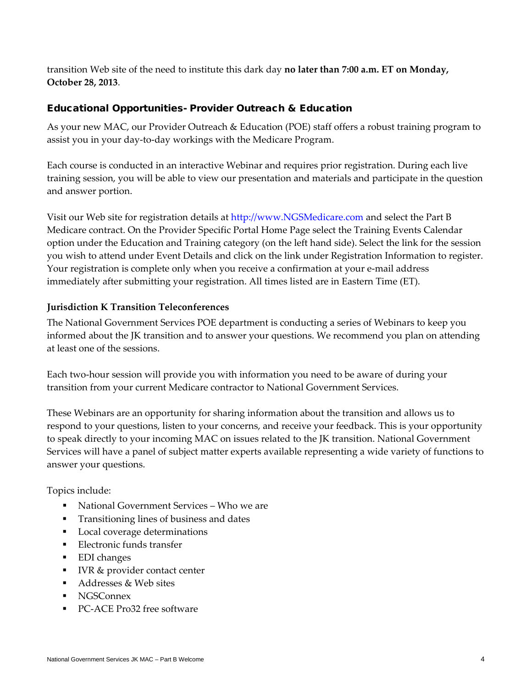transition Web site of the need to institute this dark day **no later than 7:00 a.m. ET on Monday, October 28, 2013**.

#### Educational Opportunities- Provider Outreach & Education

As your new MAC, our Provider Outreach & Education (POE) staff offers a robust training program to assist you in your day-to-day workings with the Medicare Program.

Each course is conducted in an interactive Webinar and requires prior registration. During each live training session, you will be able to view our presentation and materials and participate in the question and answer portion.

Visit our Web site for registration details at [http://www.NGSMedicare.com](http://www.ngsmedicare.com/) and select the Part B Medicare contract. On the Provider Specific Portal Home Page select the Training Events Calendar option under the Education and Training category (on the left hand side). Select the link for the session you wish to attend under Event Details and click on the link under Registration Information to register. Your registration is complete only when you receive a confirmation at your e-mail address immediately after submitting your registration. All times listed are in Eastern Time (ET).

#### **Jurisdiction K Transition Teleconferences**

The National Government Services POE department is conducting a series of Webinars to keep you informed about the JK transition and to answer your questions. We recommend you plan on attending at least one of the sessions.

Each two-hour session will provide you with information you need to be aware of during your transition from your current Medicare contractor to National Government Services.

These Webinars are an opportunity for sharing information about the transition and allows us to respond to your questions, listen to your concerns, and receive your feedback. This is your opportunity to speak directly to your incoming MAC on issues related to the JK transition. National Government Services will have a panel of subject matter experts available representing a wide variety of functions to answer your questions.

Topics include:

- National Government Services Who we are
- Transitioning lines of business and dates
- **Local coverage determinations**
- **Electronic funds transfer**
- EDI changes
- IVR & provider contact center
- Addresses & Web sites
- **NGSConnex**
- PC-ACE Pro32 free software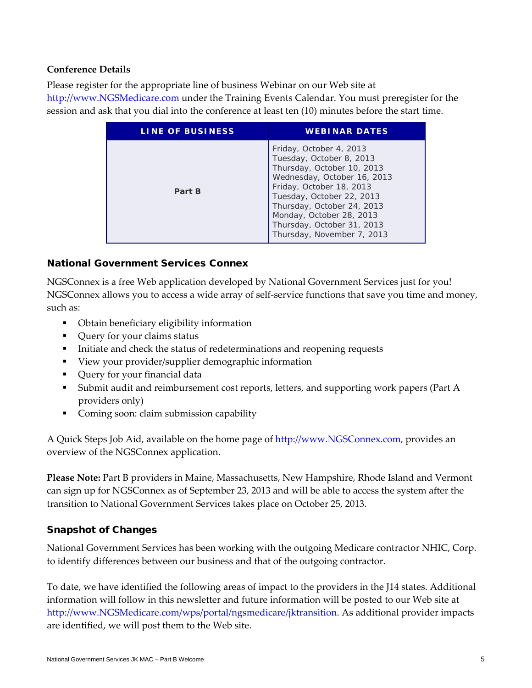## **Conference Details**

Please register for the appropriate line of business Webinar on our Web site at [http://www.NGSMedicare.com](http://www.ngsmedicare.com/) under the Training Events Calendar. You must preregister for the session and ask that you dial into the conference at least ten (10) minutes before the start time.

| LINE OF BUSINESS | <b>WEBINAR DATES</b>                                                                                                                                                                                                                                                                            |
|------------------|-------------------------------------------------------------------------------------------------------------------------------------------------------------------------------------------------------------------------------------------------------------------------------------------------|
| Part B           | Friday, October 4, 2013<br>Tuesday, October 8, 2013<br>Thursday, October 10, 2013<br>Wednesday, October 16, 2013<br>Friday, October 18, 2013<br>Tuesday, October 22, 2013<br>Thursday, October 24, 2013<br>Monday, October 28, 2013<br>Thursday, October 31, 2013<br>Thursday, November 7, 2013 |

## National Government Services Connex

NGSConnex is a free Web application developed by National Government Services just for you! NGSConnex allows you to access a wide array of self-service functions that save you time and money, such as:

- Obtain beneficiary eligibility information
- Query for your claims status
- Initiate and check the status of redeterminations and reopening requests
- View your provider/supplier demographic information
- **•** Query for your financial data
- Submit audit and reimbursement cost reports, letters, and supporting work papers (Part A providers only)
- Coming soon: claim submission capability

A Quick Steps Job Aid, available on the home page of [http://www.NGSConnex.com,](http://www.ngsconnex.com/) provides an overview of the NGSConnex application.

**Please Note:** Part B providers in Maine, Massachusetts, New Hampshire, Rhode Island and Vermont can sign up for NGSConnex as of September 23, 2013 and will be able to access the system after the transition to National Government Services takes place on October 25, 2013.

## Snapshot of Changes

National Government Services has been working with the outgoing Medicare contractor NHIC, Corp. to identify differences between our business and that of the outgoing contractor.

To date, we have identified the following areas of impact to the providers in the J14 states. Additional information will follow in this newsletter and future information will be posted to our Web site at [http://www.NGSMedicare.com/wps/portal/ngsmedicare/jktransition.](http://www.ngsmedicare.com/wps/portal/ngsmedicare/jktransition) As additional provider impacts are identified, we will post them to the Web site.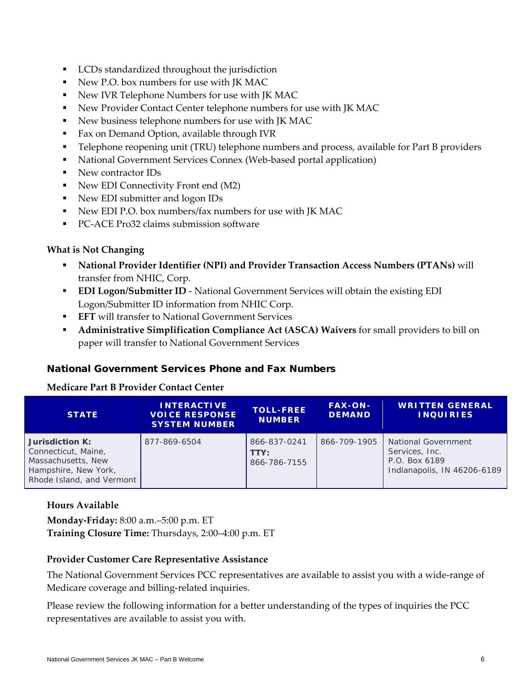- LCDs standardized throughout the jurisdiction
- New P.O. box numbers for use with JK MAC
- New IVR Telephone Numbers for use with JK MAC
- New Provider Contact Center telephone numbers for use with JK MAC
- New business telephone numbers for use with JK MAC
- **Fax on Demand Option, available through IVR**
- Telephone reopening unit (TRU) telephone numbers and process, available for Part B providers
- National Government Services Connex (Web-based portal application)
- New contractor IDs
- New EDI Connectivity Front end (M2)
- New EDI submitter and logon IDs
- New EDI P.O. box numbers/fax numbers for use with JK MAC
- PC-ACE Pro32 claims submission software

#### **What is Not Changing**

- **National Provider Identifier (NPI) and Provider Transaction Access Numbers (PTANs)** will transfer from NHIC, Corp.
- **EDI Logon/Submitter ID** National Government Services will obtain the existing EDI Logon/Submitter ID information from NHIC Corp.
- **EFT** will transfer to National Government Services
- **Administrative Simplification Compliance Act (ASCA) Waivers** for small providers to bill on paper will transfer to National Government Services

## National Government Services Phone and Fax Numbers

#### **Medicare Part B Provider Contact Center**

| <b>STATE</b>                                                                                                      | <b>INTERACTIVE</b><br><b>VOICE RESPONSE</b><br><b>SYSTEM NUMBER</b> | <b>TOLL-FREE</b><br><b>NUMBER</b>    | <b>FAX-ON-</b><br><b>DEMAND</b> | <b>WRITTEN GENERAL</b><br><b>INQUIRIES</b>                                                   |
|-------------------------------------------------------------------------------------------------------------------|---------------------------------------------------------------------|--------------------------------------|---------------------------------|----------------------------------------------------------------------------------------------|
| Jurisdiction K:<br>Connecticut, Maine,<br>Massachusetts, New<br>Hampshire, New York,<br>Rhode Island, and Vermont | 877-869-6504                                                        | 866-837-0241<br>TTY:<br>866-786-7155 | 866-709-1905                    | <b>National Government</b><br>Services, Inc.<br>P.O. Box 6189<br>Indianapolis, IN 46206-6189 |

#### **Hours Available**

**Monday-Friday:** 8:00 a.m.–5:00 p.m. ET **Training Closure Time:** Thursdays, 2:00–4:00 p.m. ET

#### **Provider Customer Care Representative Assistance**

The National Government Services PCC representatives are available to assist you with a wide-range of Medicare coverage and billing-related inquiries.

Please review the following information for a better understanding of the types of inquiries the PCC representatives are available to assist you with.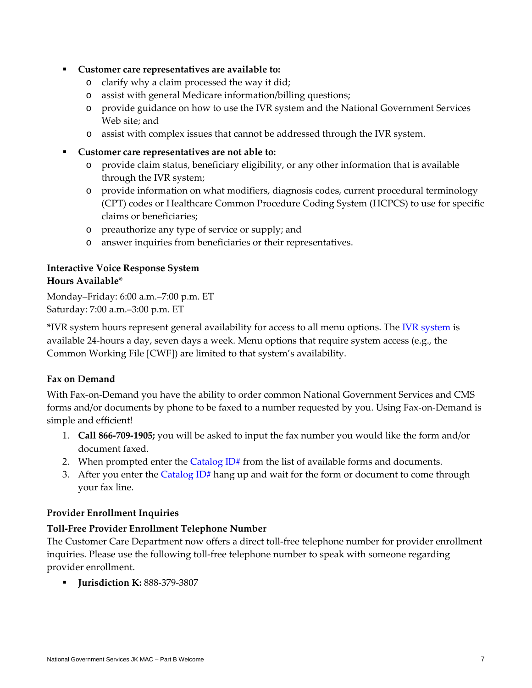#### **Customer care representatives are available to:**

- o clarify why a claim processed the way it did;
- o assist with general Medicare information/billing questions;
- o provide guidance on how to use the IVR system and the National Government Services Web site; and
- o assist with complex issues that cannot be addressed through the IVR system.
- **Customer care representatives are not able to:**
	- o provide claim status, beneficiary eligibility, or any other information that is available through the IVR system;
	- o provide information on what modifiers, diagnosis codes, current procedural terminology (CPT) codes or Healthcare Common Procedure Coding System (HCPCS) to use for specific claims or beneficiaries;
	- o preauthorize any type of service or supply; and
	- o answer inquiries from beneficiaries or their representatives.

## **Interactive Voice Response System Hours Available\***

Monday–Friday: 6:00 a.m.–7:00 p.m. ET Saturday: 7:00 a.m.–3:00 p.m. ET

**\***IVR system hours represent general availability for access to all menu options. The [IVR system](http://www.ngsmedicare.com/ngs/portal/ngsmedicare/b_provider%20contact%20center/!ut/p/a1/rVHRboIwFP0VffBx6VWg4CNxw8zJSMbchBdTywVrpGCpZJ-_ojHbC3NL1pf23px7bs85JCVrkkrWioJpUUl26OqUbmARz_zAsQHCKcCjT-NgPgfLno4NIOkHRM-TH-cjh7yTlKRc6lrvSCKLpsRMcKaQV1Kj1CP41huBwqY6KY7NCDoA43pwMu_tplZVKzJUg2ubm2FUHXnNCsywEYU8V1xkJOG2taUAYJvbpVnO3EmGLtoU0eU0x6usnuPDLVvOsm4YcwH0r0jMH9wvhmge3BuG8asXPYUPqzeHxH8QtPhFkGJ_PKa-iaPz_kOT9f_nYbZMVDgLiy4XvbsTMq_Iuh9fl6vS2-dL-uKB5RzapT8cfgKNiitb/dl5/d5/L2dBISEvZ0FBIS9nQSEh/?1dmy&urile=wcm%3apath%3a%2Fngsmedicarecontent%2Fngsmedicare%2Fresources%2Fcontact%2Bus%2Finteractive%2Bvoice%2Bresponse%2Bsystem%2B%25283%2529) is available 24-hours a day, seven days a week. Menu options that require system access (e.g., the Common Working File [CWF]) are limited to that system's availability.

## **Fax on Demand**

With Fax-on-Demand you have the ability to order common National Government Services and CMS forms and/or documents by phone to be faxed to a number requested by you. Using Fax-on-Demand is simple and efficient!

- 1. **Call 866-709-1905;** you will be asked to input the fax number you would like the form and/or document faxed.
- 2. When prompted enter the [Catalog ID#](http://www.ngsmedicare.com/ngs/portal/ngsmedicare/b_provider%20contact%20center/!ut/p/a1/rVHRboIwFP0VffBx6VWg4CNxw8zJSMbchBdTywVrpGCpZJ-_ojHbC3NL1pf23px7bs85JCVrkkrWioJpUUl26OqUbmARz_zAsQHCKcCjT-NgPgfLno4NIOkHRM-TH-cjh7yTlKRc6lrvSCKLpsRMcKaQV1Kj1CP41huBwqY6KY7NCDoA43pwMu_tplZVKzJUg2ubm2FUHXnNCsywEYU8V1xkJOG2taUAYJvbpVnO3EmGLtoU0eU0x6usnuPDLVvOsm4YcwH0r0jMH9wvhmge3BuG8asXPYUPqzeHxH8QtPhFkGJ_PKa-iaPz_kOT9f_nYbZMVDgLiy4XvbsTMq_Iuh9fl6vS2-dL-uKB5RzapT8cfgKNiitb/dl5/d5/L2dBISEvZ0FBIS9nQSEh/?1dmy&urile=wcm%3apath%3a%2Fngsmedicarecontent%2Fngsmedicare%2Fresources%2Fcontact%2Bus%2Ffax%2Bon%2Bdemand%2Bcatalog%2Bid%2Band%2Bdescriptions) from the list of available forms and documents.
- 3. After you enter the Catalog  $ID#$  hang up and wait for the form or document to come through your fax line.

## **Provider Enrollment Inquiries**

## **Toll-Free Provider Enrollment Telephone Number**

The Customer Care Department now offers a direct toll-free telephone number for provider enrollment inquiries. Please use the following toll-free telephone number to speak with someone regarding provider enrollment.

**Jurisdiction K:** 888-379-3807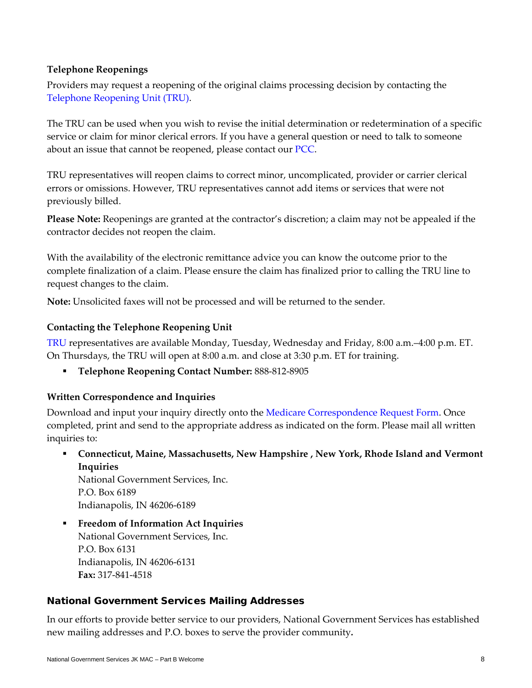#### **Telephone Reopenings**

Providers may request a reopening of the original claims processing decision by contacting the [Telephone Reopening Unit \(TRU\).](http://www.ngsmedicare.com/ngs/portal/ngsmedicare/telephone%20reopenings/!ut/p/a1/rZNLc4IwFIX_ii5cOokaEZZokfGBWK2jsHECXjAqASFj23_fRO1oZ3wtyuoeOPdO-M4N8tEC-ZweWEwFSzndKe1rS9yfdsxuk2DsGBj3TG3atW3cILomDZ4y3HlM_LC_R377bxvcUf1h_4CgOfKRX9ADhGm6ZaBUuAOaX-TEsnvu6PiBi0yskcfjIoEVC2kuu7gALir46l0F53Bg8FnK8jSEoqhgmmVAd7IQsINsnXIo5ZBmwJlsU5MzGsMKChbzowrZCnlRVMN1Q8eENAIDh0EAZBVFQDSAVqhFx7MN3TbyxjQXpfZjEgrVkySOJJ6wPBnuh-XJM7QuE1y7-yYn1D50d-BYs5GGpmrGvOMs32fWRLqvyEt1TV7KM3lZXf_n64D6LyxfPXc6TqwSEOsq41GKFjdDkla22e99U66ByvxLoMU_78H8LzzbGHZx790htqUbNWzJq4DRnIbqZp04nmuvUNTWKEtms-3E1jcQNKPpOElMczyq-sF3o-klZrn8A15gtMI!/dl5/d5/L3dHQSEvUUtRZy9nQSEh/?1dmy&urile=wcm%3apath%3a%2Fngsmedicarecontent%2Fngsmedicare%2Fresources%2Fcontact%2Bus%2Fappeals%2Bcontact%2Binformation%2B-%2Bpart%2Bb)

The TRU can be used when you wish to revise the initial determination or redetermination of a specific service or claim for minor clerical errors. If you have a general question or need to talk to someone about an issue that cannot be reopened, please contact our [PCC.](http://www.ngsmedicare.com/ngs/portal/ngsmedicare/telephone%20reopenings/!ut/p/a1/rZNLc4IwFIX_ii5cOokaEZZokfGBWK2jsHECXjAqASFj23_fRO1oZ3wtyuoeOPdO-M4N8tEC-ZweWEwFSzndKe1rS9yfdsxuk2DsGBj3TG3atW3cILomDZ4y3HlM_LC_R377bxvcUf1h_4CgOfKRX9ADhGm6ZaBUuAOaX-TEsnvu6PiBi0yskcfjIoEVC2kuu7gALir46l0F53Bg8FnK8jSEoqhgmmVAd7IQsINsnXIo5ZBmwJlsU5MzGsMKChbzowrZCnlRVMN1Q8eENAIDh0EAZBVFQDSAVqhFx7MN3TbyxjQXpfZjEgrVkySOJJ6wPBnuh-XJM7QuE1y7-yYn1D50d-BYs5GGpmrGvOMs32fWRLqvyEt1TV7KM3lZXf_n64D6LyxfPXc6TqwSEOsq41GKFjdDkla22e99U66ByvxLoMU_78H8LzzbGHZx790htqUbNWzJq4DRnIbqZp04nmuvUNTWKEtms-3E1jcQNKPpOElMczyq-sF3o-klZrn8A15gtMI!/dl5/d5/L3dHQSEvUUtRZy9nQSEh/?1dmy&urile=wcm%3apath%3a%2Fngsmedicarecontent%2Fngsmedicare%2Fresources%2Fcontact%2Bus%2Fb_provider%2Bcontact%2Bcenter)

TRU representatives will reopen claims to correct minor, uncomplicated, provider or carrier clerical errors or omissions. However, TRU representatives cannot add items or services that were not previously billed.

**Please Note:** Reopenings are granted at the contractor's discretion; a claim may not be appealed if the contractor decides not reopen the claim.

With the availability of the electronic remittance advice you can know the outcome prior to the complete finalization of a claim. Please ensure the claim has finalized prior to calling the TRU line to request changes to the claim.

**Note:** Unsolicited faxes will not be processed and will be returned to the sender.

#### **Contacting the Telephone Reopening Unit**

[TRU](http://www.ngsmedicare.com/ngs/portal/ngsmedicare/telephone%20reopenings/!ut/p/a1/rZNLc4IwFIX_ii5cOokaEZZokfGBWK2jsHECXjAqASFj23_fRO1oZ3wtyuoeOPdO-M4N8tEC-ZweWEwFSzndKe1rS9yfdsxuk2DsGBj3TG3atW3cILomDZ4y3HlM_LC_R377bxvcUf1h_4CgOfKRX9ADhGm6ZaBUuAOaX-TEsnvu6PiBi0yskcfjIoEVC2kuu7gALir46l0F53Bg8FnK8jSEoqhgmmVAd7IQsINsnXIo5ZBmwJlsU5MzGsMKChbzowrZCnlRVMN1Q8eENAIDh0EAZBVFQDSAVqhFx7MN3TbyxjQXpfZjEgrVkySOJJ6wPBnuh-XJM7QuE1y7-yYn1D50d-BYs5GGpmrGvOMs32fWRLqvyEt1TV7KM3lZXf_n64D6LyxfPXc6TqwSEOsq41GKFjdDkla22e99U66ByvxLoMU_78H8LzzbGHZx790htqUbNWzJq4DRnIbqZp04nmuvUNTWKEtms-3E1jcQNKPpOElMczyq-sF3o-klZrn8A15gtMI!/dl5/d5/L3dHQSEvUUtRZy9nQSEh/?1dmy&urile=wcm%3apath%3a%2Fngsmedicarecontent%2Fngsmedicare%2Fresources%2Fcontact%2Bus%2Fappeals%2Bcontact%2Binformation%2B-%2Bpart%2Bb) representatives are available Monday, Tuesday, Wednesday and Friday, 8:00 a.m.–4:00 p.m. ET. On Thursdays, the TRU will open at 8:00 a.m. and close at 3:30 p.m. ET for training.

**Telephone Reopening Contact Number:** 888-812-8905

## **Written Correspondence and Inquiries**

Download and input your inquiry directly onto the [Medicare Correspondence Request Form.](http://www.ngsmedicare.com/ngs/wcm/connect/ab8b200046a6edaeb677be20f10166d0/292_0813_Medicare_Correspondence_Request_Form_070913_508.pdf?MOD=AJPERES) Once completed, print and send to the appropriate address as indicated on the form. Please mail all written inquiries to:

 **Connecticut, Maine, Massachusetts, New Hampshire , New York, Rhode Island and Vermont Inquiries** 

National Government Services, Inc. P.O. Box 6189 Indianapolis, IN 46206-6189

**Freedom of Information Act Inquiries** National Government Services, Inc. P.O. Box 6131 Indianapolis, IN 46206-6131 **Fax:** 317-841-4518

## National Government Services Mailing Addresses

In our efforts to provide better service to our providers, National Government Services has established new mailing addresses and P.O. boxes to serve the provider community*.*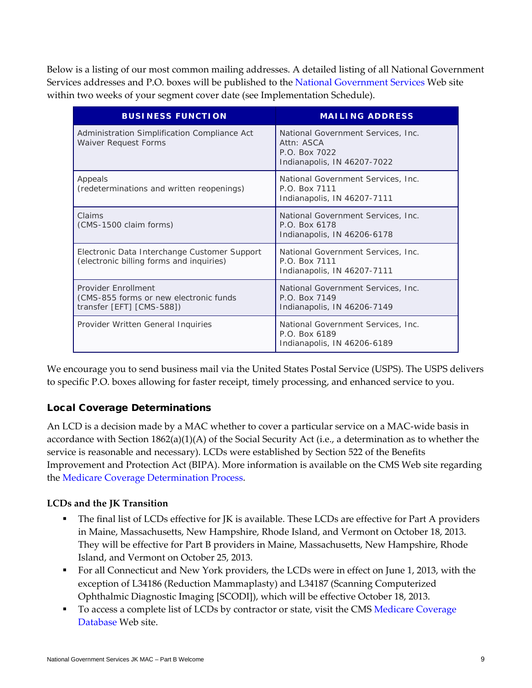Below is a listing of our most common mailing addresses. A detailed listing of all National Government Services addresses and P.O. boxes will be published to the [National](http://www.ngsmedicare.com/) Government Services Web site within two weeks of your segment cover date (see Implementation Schedule).

| <b>BUSINESS FUNCTION</b>                                                                   | <b>MAILING ADDRESS</b>                                                                           |
|--------------------------------------------------------------------------------------------|--------------------------------------------------------------------------------------------------|
| Administration Simplification Compliance Act<br><b>Waiver Request Forms</b>                | National Government Services, Inc.<br>Attn: ASCA<br>P.O. Box 7022<br>Indianapolis, IN 46207-7022 |
| Appeals<br>(redeterminations and written reopenings)                                       | National Government Services, Inc.<br>P.O. Box 7111<br>Indianapolis, IN 46207-7111               |
| Claims<br>(CMS-1500 claim forms)                                                           | National Government Services, Inc.<br>P.O. Box 6178<br>Indianapolis, IN 46206-6178               |
| Electronic Data Interchange Customer Support<br>(electronic billing forms and inquiries)   | National Government Services, Inc.<br>P.O. Box 7111<br>Indianapolis, IN 46207-7111               |
| Provider Enrollment<br>(CMS-855 forms or new electronic funds<br>transfer [EFT] [CMS-588]) | National Government Services, Inc.<br>P.O. Box 7149<br>Indianapolis, IN 46206-7149               |
| Provider Written General Inquiries                                                         | National Government Services, Inc.<br>P.O. Box 6189<br>Indianapolis, IN 46206-6189               |

We encourage you to send business mail via the United States Postal Service (USPS). The USPS delivers to specific P.O. boxes allowing for faster receipt, timely processing, and enhanced service to you.

## Local Coverage Determinations

An LCD is a decision made by a MAC whether to cover a particular service on a MAC-wide basis in accordance with Section 1862(a)(1)(A) of the Social Security Act (i.e., a determination as to whether the service is reasonable and necessary). LCDs were established by Section 522 of the Benefits Improvement and Protection Act (BIPA). More information is available on the CMS Web site regarding the [Medicare Coverage Determination Process.](http://www.cms.gov/Medicare/Coverage/DeterminationProcess/index.html?redirect=/DeterminationProcess/04_LCDs.asp#TopOfPage)

## **LCDs and the JK Transition**

- The final list of LCDs effective for JK is available. These LCDs are effective for Part A providers in Maine, Massachusetts, New Hampshire, Rhode Island, and Vermont on October 18, 2013. They will be effective for Part B providers in Maine, Massachusetts, New Hampshire, Rhode Island, and Vermont on October 25, 2013.
- For all Connecticut and New York providers, the LCDs were in effect on June 1, 2013, with the exception of L34186 (Reduction Mammaplasty) and L34187 (Scanning Computerized Ophthalmic Diagnostic Imaging [SCODI]), which will be effective October 18, 2013.
- To access a complete list of LCDs by contractor or state, visit the CMS Medicare Coverage [Database](http://www.cms.gov/medicare-coverage-database/overview-and-quick-search.aspx) Web site.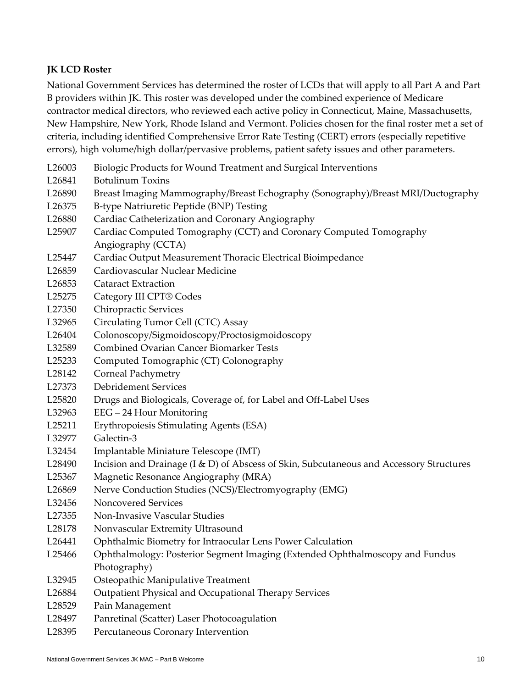## **JK LCD Roster**

National Government Services has determined the roster of LCDs that will apply to all Part A and Part B providers within JK. This roster was developed under the combined experience of Medicare contractor medical directors, who reviewed each active policy in Connecticut, Maine, Massachusetts, New Hampshire, New York, Rhode Island and Vermont. Policies chosen for the final roster met a set of criteria, including identified Comprehensive Error Rate Testing (CERT) errors (especially repetitive errors), high volume/high dollar/pervasive problems, patient safety issues and other parameters.

- L26003 Biologic Products for Wound Treatment and Surgical Interventions
- L26841 Botulinum Toxins
- L26890 Breast Imaging Mammography/Breast Echography (Sonography)/Breast MRI/Ductography
- L26375 B-type Natriuretic Peptide (BNP) Testing
- L26880 Cardiac Catheterization and Coronary Angiography
- L25907 Cardiac Computed Tomography (CCT) and Coronary Computed Tomography Angiography (CCTA)
- L25447 Cardiac Output Measurement Thoracic Electrical Bioimpedance
- L26859 Cardiovascular Nuclear Medicine
- L26853 Cataract Extraction
- L25275 Category III CPT® Codes
- L27350 Chiropractic Services
- L32965 Circulating Tumor Cell (CTC) Assay
- L26404 Colonoscopy/Sigmoidoscopy/Proctosigmoidoscopy
- L32589 Combined Ovarian Cancer Biomarker Tests
- L25233 Computed Tomographic (CT) Colonography
- L28142 Corneal Pachymetry
- L27373 Debridement Services
- L25820 Drugs and Biologicals, Coverage of, for Label and Off-Label Uses
- L32963 EEG 24 Hour Monitoring
- L25211 Erythropoiesis Stimulating Agents (ESA)
- L32977 Galectin-3
- L32454 Implantable Miniature Telescope (IMT)
- L28490 Incision and Drainage (I & D) of Abscess of Skin, Subcutaneous and Accessory Structures
- L25367 Magnetic Resonance Angiography (MRA)
- L26869 Nerve Conduction Studies (NCS)/Electromyography (EMG)
- L32456 Noncovered Services
- L27355 Non-Invasive Vascular Studies
- L28178 Nonvascular Extremity Ultrasound
- L26441 Ophthalmic Biometry for Intraocular Lens Power Calculation
- L25466 Ophthalmology: Posterior Segment Imaging (Extended Ophthalmoscopy and Fundus Photography)
- L32945 Osteopathic Manipulative Treatment
- L26884 Outpatient Physical and Occupational Therapy Services
- L28529 Pain Management
- L28497 Panretinal (Scatter) Laser Photocoagulation
- L28395 Percutaneous Coronary Intervention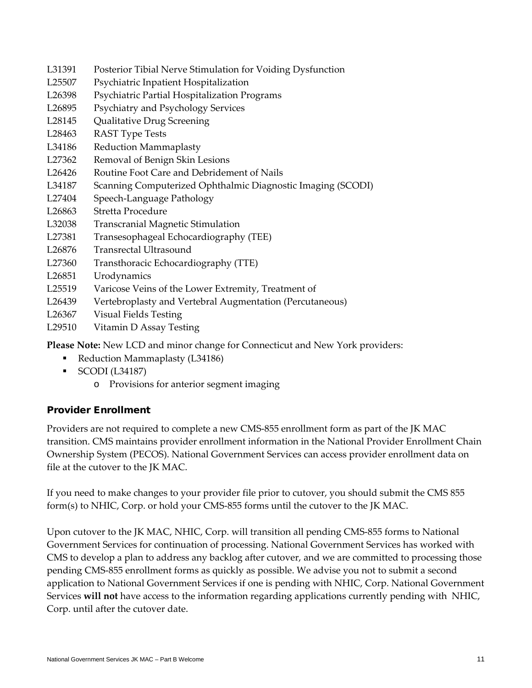- L31391 Posterior Tibial Nerve Stimulation for Voiding Dysfunction
- L25507 Psychiatric Inpatient Hospitalization
- L26398 Psychiatric Partial Hospitalization Programs
- L26895 Psychiatry and Psychology Services
- L28145 Qualitative Drug Screening
- L28463 RAST Type Tests
- L34186 Reduction Mammaplasty
- L27362 Removal of Benign Skin Lesions
- L26426 Routine Foot Care and Debridement of Nails
- L34187 Scanning Computerized Ophthalmic Diagnostic Imaging (SCODI)
- L27404 Speech-Language Pathology
- L26863 Stretta Procedure
- L32038 Transcranial Magnetic Stimulation
- L27381 Transesophageal Echocardiography (TEE)
- L26876 Transrectal Ultrasound
- L27360 Transthoracic Echocardiography (TTE)
- L26851 Urodynamics
- L25519 Varicose Veins of the Lower Extremity, Treatment of
- L26439 Vertebroplasty and Vertebral Augmentation (Percutaneous)
- L26367 Visual Fields Testing
- L29510 Vitamin D Assay Testing

**Please Note:** New LCD and minor change for Connecticut and New York providers:

- Reduction Mammaplasty (L34186)
- $\blacksquare$  SCODI (L34187)
	- o Provisions for anterior segment imaging

## Provider Enrollment

Providers are not required to complete a new CMS-855 enrollment form as part of the JK MAC transition. CMS maintains provider enrollment information in the National Provider Enrollment Chain Ownership System (PECOS). National Government Services can access provider enrollment data on file at the cutover to the JK MAC.

If you need to make changes to your provider file prior to cutover, you should submit the CMS 855 form(s) to NHIC, Corp. or hold your CMS-855 forms until the cutover to the JK MAC.

Upon cutover to the JK MAC, NHIC, Corp. will transition all pending CMS-855 forms to National Government Services for continuation of processing. National Government Services has worked with CMS to develop a plan to address any backlog after cutover, and we are committed to processing those pending CMS-855 enrollment forms as quickly as possible. We advise you not to submit a second application to National Government Services if one is pending with NHIC, Corp. National Government Services **will not** have access to the information regarding applications currently pending with NHIC, Corp. until after the cutover date.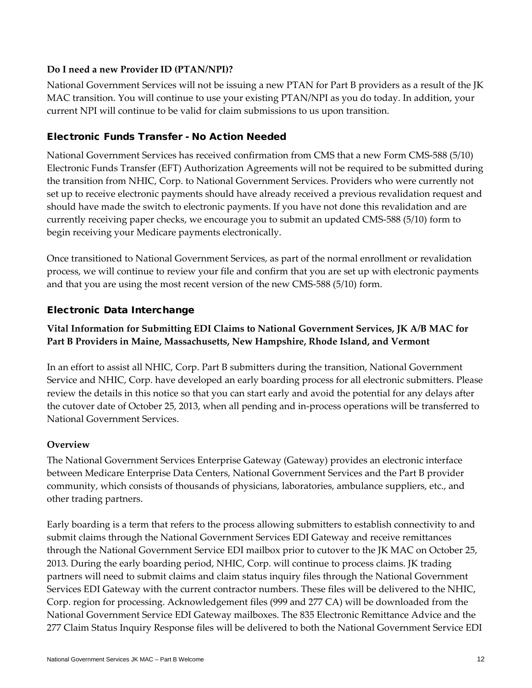#### **Do I need a new Provider ID (PTAN/NPI)?**

National Government Services will not be issuing a new PTAN for Part B providers as a result of the JK MAC transition. You will continue to use your existing PTAN/NPI as you do today. In addition, your current NPI will continue to be valid for claim submissions to us upon transition.

## Electronic Funds Transfer - No Action Needed

National Government Services has received confirmation from CMS that a new Form CMS-588 (5/10) Electronic Funds Transfer (EFT) Authorization Agreements will not be required to be submitted during the transition from NHIC, Corp. to National Government Services. Providers who were currently not set up to receive electronic payments should have already received a previous revalidation request and should have made the switch to electronic payments. If you have not done this revalidation and are currently receiving paper checks, we encourage you to submit an updated CMS-588 (5/10) form to begin receiving your Medicare payments electronically.

Once transitioned to National Government Services, as part of the normal enrollment or revalidation process, we will continue to review your file and confirm that you are set up with electronic payments and that you are using the most recent version of the new CMS-588 (5/10) form.

#### Electronic Data Interchange

## **Vital Information for Submitting EDI Claims to National Government Services, JK A/B MAC for Part B Providers in Maine, Massachusetts, New Hampshire, Rhode Island, and Vermont**

In an effort to assist all NHIC, Corp. Part B submitters during the transition, National Government Service and NHIC, Corp. have developed an early boarding process for all electronic submitters. Please review the details in this notice so that you can start early and avoid the potential for any delays after the cutover date of October 25, 2013, when all pending and in-process operations will be transferred to National Government Services.

#### **Overview**

The National Government Services Enterprise Gateway (Gateway) provides an electronic interface between Medicare Enterprise Data Centers, National Government Services and the Part B provider community, which consists of thousands of physicians, laboratories, ambulance suppliers, etc., and other trading partners.

Early boarding is a term that refers to the process allowing submitters to establish connectivity to and submit claims through the National Government Services EDI Gateway and receive remittances through the National Government Service EDI mailbox prior to cutover to the JK MAC on October 25, 2013. During the early boarding period, NHIC, Corp. will continue to process claims. JK trading partners will need to submit claims and claim status inquiry files through the National Government Services EDI Gateway with the current contractor numbers. These files will be delivered to the NHIC, Corp. region for processing. Acknowledgement files (999 and 277 CA) will be downloaded from the National Government Service EDI Gateway mailboxes. The 835 Electronic Remittance Advice and the 277 Claim Status Inquiry Response files will be delivered to both the National Government Service EDI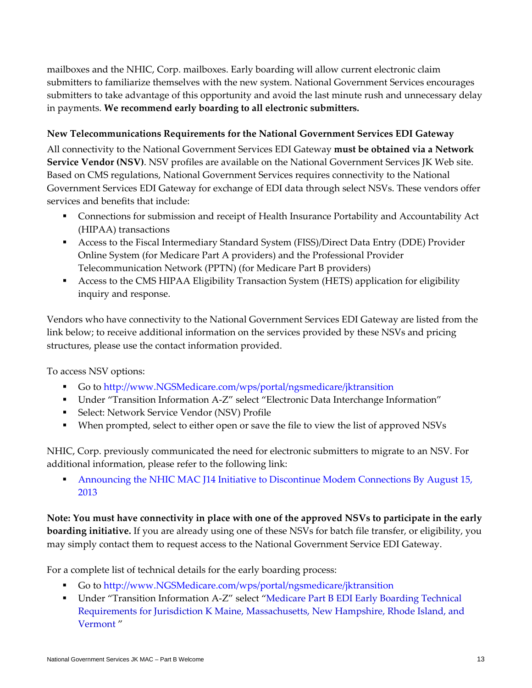mailboxes and the NHIC, Corp. mailboxes. Early boarding will allow current electronic claim submitters to familiarize themselves with the new system. National Government Services encourages submitters to take advantage of this opportunity and avoid the last minute rush and unnecessary delay in payments. **We recommend early boarding to all electronic submitters.**

#### **New Telecommunications Requirements for the National Government Services EDI Gateway**

All connectivity to the National Government Services EDI Gateway **must be obtained via a Network Service Vendor (NSV)**. NSV profiles are available on the National Government Services JK Web site. Based on CMS regulations, National Government Services requires connectivity to the National Government Services EDI Gateway for exchange of EDI data through select NSVs. These vendors offer services and benefits that include:

- Connections for submission and receipt of Health Insurance Portability and Accountability Act (HIPAA) transactions
- Access to the Fiscal Intermediary Standard System (FISS)/Direct Data Entry (DDE) Provider Online System (for Medicare Part A providers) and the Professional Provider Telecommunication Network (PPTN) (for Medicare Part B providers)
- Access to the CMS HIPAA Eligibility Transaction System (HETS) application for eligibility inquiry and response.

Vendors who have connectivity to the National Government Services EDI Gateway are listed from the link below; to receive additional information on the services provided by these NSVs and pricing structures, please use the contact information provided.

To access NSV options:

- Go to [http://www.NGSMedicare.com/wps/portal/ngsmedicare/jktransition](http://www.ngsmedicare.com/wps/portal/ngsmedicare/jktransition)
- Under "Transition Information A-Z" select "Electronic Data Interchange Information"
- Select: Network Service Vendor (NSV) Profile
- When prompted, select to either open or save the file to view the list of approved NSVs

NHIC, Corp. previously communicated the need for electronic submitters to migrate to an NSV. For additional information, please refer to the following link:

 [Announcing the NHIC MAC J14 Initiative to Discontinue Modem Connections By August 15,](http://www.medicarenhic.com/providers/articles/EDIUpdate061313.pdf)  [2013](http://www.medicarenhic.com/providers/articles/EDIUpdate061313.pdf)

**Note: You must have connectivity in place with one of the approved NSVs to participate in the early boarding initiative.** If you are already using one of these NSVs for batch file transfer, or eligibility, you may simply contact them to request access to the National Government Service EDI Gateway.

For a complete list of technical details for the early boarding process:

- Go to [http://www.NGSMedicare.com/wps/portal/ngsmedicare/jktransition](http://www.ngsmedicare.com/wps/portal/ngsmedicare/jktransition)
- Under "Transition Information A-Z" select ["Medicare Part B EDI Early Boarding Technical](http://www.ngsmedicare.com/ngs/portal/ngsmedicare/j14%20mac%20-%20part%20b%20providers/!ut/p/a1/tVLLbsIwEPyV9MAReUOM4xwjJCjQgAi0kFwqkzjBQJyQWPTx9TgFqa0qXoda8mFWu7M7o0EhWqBQsr1ImRK5ZNsah-QVPK_jdtsYemRiQ3_UdnzLeqb-mKA5ClEYSVWoFQpkWmU8FhEreZRLxaVqwI9aA1TJZCVq7qoB643xjY2MKV4KttV1E2sUGU2jYKUylkZR5nsR87KqdxUs5TGvRCq_UCRiFEASUZxQ0J_YBJaO1aKJjR0T246NqallBLWMM8-FaypP84PpsYGOZxb0JxRe_EnbH5n4znnwHIC-S6bdXg-s8ah1k8tXGI4NFyT-ZvirIdBH2mevwBhN73B8cIMlYr3bha6OT52Vd4UW_54fvbRVeh0vrXOkVk0hkxwtLgwMrrl6hnFjnASgIsvoOhkOn4j_-DlLsjlV9OPNfTgAO3FHhw!!/dl5/d5/L2dBISEvZ0FBIS9nQSEh/?1dmy&urile=wcm%3apath%3a%2Fngsmedicarecontent%2Fngsmedicare%2Ftransitions%2Fjk%2Btransition%2Bmaterial%2Fmedicare%2Bpart%2Bb%2Bedi%2Bearly%2Bboarding%2Btechnical%2Brequirements%2Bfor%2Bjurisdiction%2Bk%2Bmaine%252C%2Bmassachusetts%252C%2Bnew%2Bhampshire%252C%2Brhode%2Bisland%252C%2Band%2Bvermont)  [Requirements for Jurisdiction K Maine, Massachusetts, New Hampshire, Rhode Island, and](http://www.ngsmedicare.com/ngs/portal/ngsmedicare/j14%20mac%20-%20part%20b%20providers/!ut/p/a1/tVLLbsIwEPyV9MAReUOM4xwjJCjQgAi0kFwqkzjBQJyQWPTx9TgFqa0qXoda8mFWu7M7o0EhWqBQsr1ImRK5ZNsah-QVPK_jdtsYemRiQ3_UdnzLeqb-mKA5ClEYSVWoFQpkWmU8FhEreZRLxaVqwI9aA1TJZCVq7qoB643xjY2MKV4KttV1E2sUGU2jYKUylkZR5nsR87KqdxUs5TGvRCq_UCRiFEASUZxQ0J_YBJaO1aKJjR0T246NqallBLWMM8-FaypP84PpsYGOZxb0JxRe_EnbH5n4znnwHIC-S6bdXg-s8ah1k8tXGI4NFyT-ZvirIdBH2mevwBhN73B8cIMlYr3bha6OT52Vd4UW_54fvbRVeh0vrXOkVk0hkxwtLgwMrrl6hnFjnASgIsvoOhkOn4j_-DlLsjlV9OPNfTgAO3FHhw!!/dl5/d5/L2dBISEvZ0FBIS9nQSEh/?1dmy&urile=wcm%3apath%3a%2Fngsmedicarecontent%2Fngsmedicare%2Ftransitions%2Fjk%2Btransition%2Bmaterial%2Fmedicare%2Bpart%2Bb%2Bedi%2Bearly%2Bboarding%2Btechnical%2Brequirements%2Bfor%2Bjurisdiction%2Bk%2Bmaine%252C%2Bmassachusetts%252C%2Bnew%2Bhampshire%252C%2Brhode%2Bisland%252C%2Band%2Bvermont)  [Vermont](http://www.ngsmedicare.com/ngs/portal/ngsmedicare/j14%20mac%20-%20part%20b%20providers/!ut/p/a1/tVLLbsIwEPyV9MAReUOM4xwjJCjQgAi0kFwqkzjBQJyQWPTx9TgFqa0qXoda8mFWu7M7o0EhWqBQsr1ImRK5ZNsah-QVPK_jdtsYemRiQ3_UdnzLeqb-mKA5ClEYSVWoFQpkWmU8FhEreZRLxaVqwI9aA1TJZCVq7qoB643xjY2MKV4KttV1E2sUGU2jYKUylkZR5nsR87KqdxUs5TGvRCq_UCRiFEASUZxQ0J_YBJaO1aKJjR0T246NqallBLWMM8-FaypP84PpsYGOZxb0JxRe_EnbH5n4znnwHIC-S6bdXg-s8ah1k8tXGI4NFyT-ZvirIdBH2mevwBhN73B8cIMlYr3bha6OT52Vd4UW_54fvbRVeh0vrXOkVk0hkxwtLgwMrrl6hnFjnASgIsvoOhkOn4j_-DlLsjlV9OPNfTgAO3FHhw!!/dl5/d5/L2dBISEvZ0FBIS9nQSEh/?1dmy&urile=wcm%3apath%3a%2Fngsmedicarecontent%2Fngsmedicare%2Ftransitions%2Fjk%2Btransition%2Bmaterial%2Fmedicare%2Bpart%2Bb%2Bedi%2Bearly%2Bboarding%2Btechnical%2Brequirements%2Bfor%2Bjurisdiction%2Bk%2Bmaine%252C%2Bmassachusetts%252C%2Bnew%2Bhampshire%252C%2Brhode%2Bisland%252C%2Band%2Bvermont) "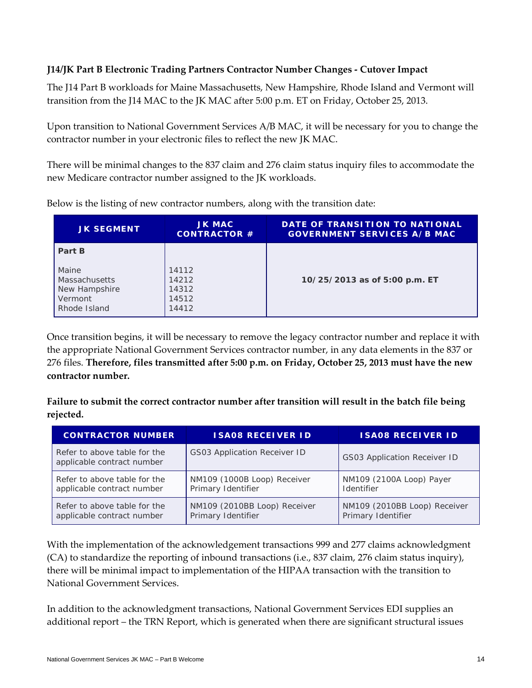## **J14/JK Part B Electronic Trading Partners Contractor Number Changes - Cutover Impact**

The J14 Part B workloads for Maine Massachusetts, New Hampshire, Rhode Island and Vermont will transition from the J14 MAC to the JK MAC after 5:00 p.m. ET on Friday, October 25, 2013.

Upon transition to National Government Services A/B MAC, it will be necessary for you to change the contractor number in your electronic files to reflect the new JK MAC.

There will be minimal changes to the 837 claim and 276 claim status inquiry files to accommodate the new Medicare contractor number assigned to the JK workloads.

| <b>JK SEGMENT</b>                                                         | <b>JK MAC</b><br><b>CONTRACTOR #</b>      | DATE OF TRANSITION TO NATIONAL<br><b>GOVERNMENT SERVICES A/B MAC</b> |
|---------------------------------------------------------------------------|-------------------------------------------|----------------------------------------------------------------------|
| Part B                                                                    |                                           |                                                                      |
| Maine<br><b>Massachusetts</b><br>New Hampshire<br>Vermont<br>Rhode Island | 14112<br>14212<br>14312<br>14512<br>14412 | 10/25/2013 as of 5:00 p.m. ET                                        |

Below is the listing of new contractor numbers, along with the transition date:

Once transition begins, it will be necessary to remove the legacy contractor number and replace it with the appropriate National Government Services contractor number, in any data elements in the 837 or 276 files. **Therefore, files transmitted after 5:00 p.m. on Friday, October 25, 2013 must have the new contractor number.**

**Failure to submit the correct contractor number after transition will result in the batch file being rejected.**

| <b>CONTRACTOR NUMBER</b>                                   | <b>ISA08 RECEIVER ID</b>            | <b>ISA08 RECEIVER ID</b>            |
|------------------------------------------------------------|-------------------------------------|-------------------------------------|
| Refer to above table for the<br>applicable contract number | <b>GS03 Application Receiver ID</b> | <b>GS03 Application Receiver ID</b> |
| Refer to above table for the                               | NM109 (1000B Loop) Receiver         | NM109 (2100A Loop) Payer            |
| applicable contract number                                 | Primary Identifier                  | Identifier                          |
| Refer to above table for the                               | NM109 (2010BB Loop) Receiver        | NM109 (2010BB Loop) Receiver        |
| applicable contract number                                 | Primary Identifier                  | Primary Identifier                  |

With the implementation of the acknowledgement transactions 999 and 277 claims acknowledgment (CA) to standardize the reporting of inbound transactions (i.e., 837 claim, 276 claim status inquiry), there will be minimal impact to implementation of the HIPAA transaction with the transition to National Government Services.

In addition to the acknowledgment transactions, National Government Services EDI supplies an additional report – the TRN Report, which is generated when there are significant structural issues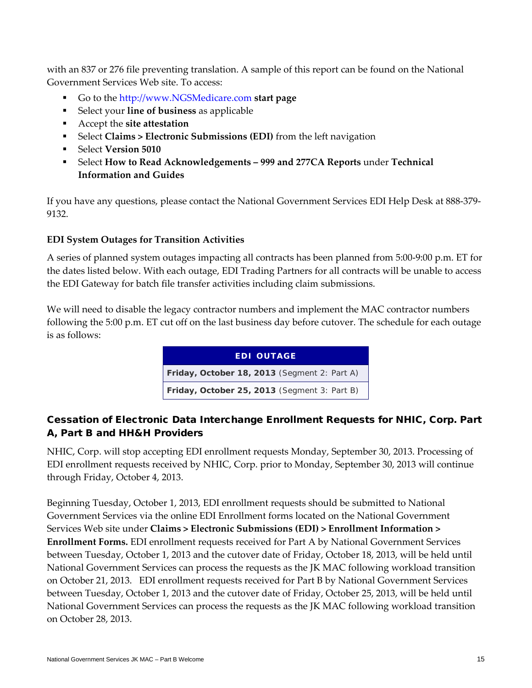with an 837 or 276 file preventing translation. A sample of this report can be found on the National Government Services Web site. To access:

- Go to the [http://www.NGSMedicare.com](http://www.ngsmedicare.com/wps/portal/ngsmedicare/welcome) **start page**
- Select your **line of business** as applicable
- Accept the **site attestation**
- Select **Claims > Electronic Submissions (EDI)** from the left navigation
- Select **Version 5010**
- Select **How to Read Acknowledgements – 999 and 277CA Reports** under **Technical Information and Guides**

If you have any questions, please contact the National Government Services EDI Help Desk at 888-379- 9132.

#### **EDI System Outages for Transition Activities**

A series of planned system outages impacting all contracts has been planned from 5:00-9:00 p.m. ET for the dates listed below. With each outage, EDI Trading Partners for all contracts will be unable to access the EDI Gateway for batch file transfer activities including claim submissions.

We will need to disable the legacy contractor numbers and implement the MAC contractor numbers following the 5:00 p.m. ET cut off on the last business day before cutover. The schedule for each outage is as follows:



# Cessation of Electronic Data Interchange Enrollment Requests for NHIC, Corp. Part A, Part B and HH&H Providers

NHIC, Corp. will stop accepting EDI enrollment requests Monday, September 30, 2013. Processing of EDI enrollment requests received by NHIC, Corp. prior to Monday, September 30, 2013 will continue through Friday, October 4, 2013.

Beginning Tuesday, October 1, 2013, EDI enrollment requests should be submitted to National Government Services via the online EDI Enrollment forms located on the National Government Services Web site under **Claims > Electronic Submissions (EDI) > Enrollment Information > Enrollment Forms.** EDI enrollment requests received for Part A by National Government Services between Tuesday, October 1, 2013 and the cutover date of Friday, October 18, 2013, will be held until National Government Services can process the requests as the JK MAC following workload transition on October 21, 2013. EDI enrollment requests received for Part B by National Government Services between Tuesday, October 1, 2013 and the cutover date of Friday, October 25, 2013, will be held until National Government Services can process the requests as the JK MAC following workload transition on October 28, 2013.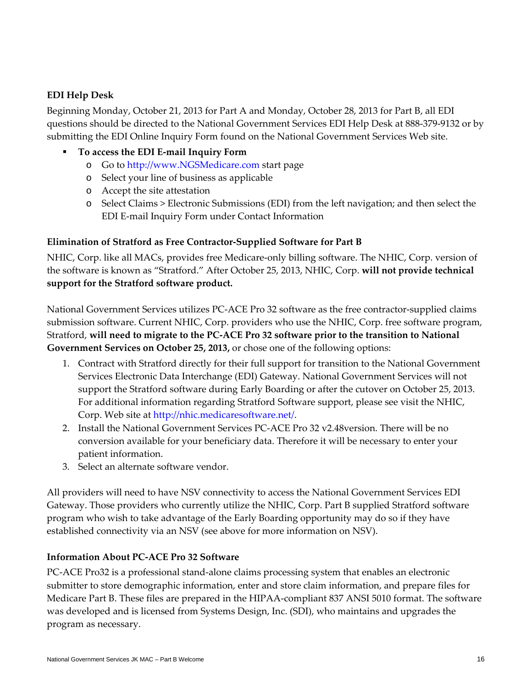## **EDI Help Desk**

Beginning Monday, October 21, 2013 for Part A and Monday, October 28, 2013 for Part B, all EDI questions should be directed to the National Government Services EDI Help Desk at 888-379-9132 or by submitting the EDI Online Inquiry Form found on the National Government Services Web site.

## **To access the EDI E-mail Inquiry Form**

- o Go to [http://www.NGSMedicare.com](http://www.ngsmedicare.com/) start page
- o Select your line of business as applicable
- o Accept the site attestation
- o Select Claims > Electronic Submissions (EDI) from the left navigation; and then select the EDI E-mail Inquiry Form under Contact Information

# **Elimination of Stratford as Free Contractor-Supplied Software for Part B**

NHIC, Corp. like all MACs, provides free Medicare-only billing software. The NHIC, Corp. version of the software is known as "Stratford." After October 25, 2013, NHIC, Corp. **will not provide technical support for the Stratford software product.** 

National Government Services utilizes PC-ACE Pro 32 software as the free contractor-supplied claims submission software. Current NHIC, Corp. providers who use the NHIC, Corp. free software program, Stratford, **will need to migrate to the PC-ACE Pro 32 software prior to the transition to National Government Services on October 25, 2013,** or chose one of the following options:

- 1. Contract with Stratford directly for their full support for transition to the National Government Services Electronic Data Interchange (EDI) Gateway. National Government Services will not support the Stratford software during Early Boarding or after the cutover on October 25, 2013. For additional information regarding Stratford Software support, please see visit the NHIC, Corp. Web site at [http://nhic.medicaresoftware.net/.](http://nhic.medicaresoftware.net/)
- 2. Install the National Government Services PC-ACE Pro 32 v2.48version. There will be no conversion available for your beneficiary data. Therefore it will be necessary to enter your patient information.
- 3. Select an alternate software vendor.

All providers will need to have NSV connectivity to access the National Government Services EDI Gateway. Those providers who currently utilize the NHIC, Corp. Part B supplied Stratford software program who wish to take advantage of the Early Boarding opportunity may do so if they have established connectivity via an NSV (see above for more information on NSV).

# **Information About PC-ACE Pro 32 Software**

PC-ACE Pro32 is a professional stand-alone claims processing system that enables an electronic submitter to store demographic information, enter and store claim information, and prepare files for Medicare Part B. These files are prepared in the HIPAA-compliant 837 ANSI 5010 format. The software was developed and is licensed from Systems Design, Inc. (SDI), who maintains and upgrades the program as necessary.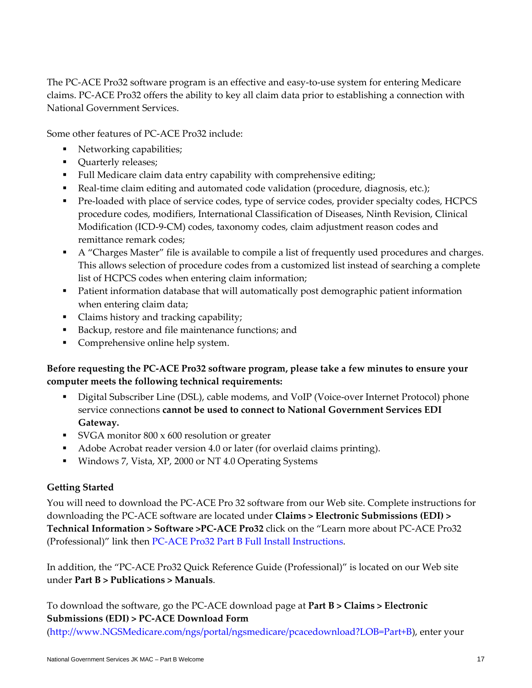The PC-ACE Pro32 software program is an effective and easy-to-use system for entering Medicare claims. PC-ACE Pro32 offers the ability to key all claim data prior to establishing a connection with National Government Services.

Some other features of PC-ACE Pro32 include:

- Networking capabilities;
- Quarterly releases;
- Full Medicare claim data entry capability with comprehensive editing;
- Real-time claim editing and automated code validation (procedure, diagnosis, etc.);
- Pre-loaded with place of service codes, type of service codes, provider specialty codes, HCPCS procedure codes, modifiers, International Classification of Diseases, Ninth Revision, Clinical Modification (ICD-9-CM) codes, taxonomy codes, claim adjustment reason codes and remittance remark codes;
- A "Charges Master" file is available to compile a list of frequently used procedures and charges. This allows selection of procedure codes from a customized list instead of searching a complete list of HCPCS codes when entering claim information;
- Patient information database that will automatically post demographic patient information when entering claim data;
- Claims history and tracking capability;
- Backup, restore and file maintenance functions; and
- Comprehensive online help system.

## **Before requesting the PC-ACE Pro32 software program, please take a few minutes to ensure your computer meets the following technical requirements:**

- Digital Subscriber Line (DSL), cable modems, and VoIP (Voice-over Internet Protocol) phone service connections **cannot be used to connect to National Government Services EDI Gateway.**
- SVGA monitor 800 x 600 resolution or greater
- Adobe Acrobat reader version 4.0 or later (for overlaid claims printing).
- Windows 7, Vista, XP, 2000 or NT 4.0 Operating Systems

#### **Getting Started**

You will need to download the PC-ACE Pro 32 software from our Web site. Complete instructions for downloading the PC-ACE software are located under **Claims > Electronic Submissions (EDI) > Technical Information > Software >PC-ACE Pro32** click on the "Learn more about PC-ACE Pro32 (Professional)" link then [PC-ACE Pro32 Part B Full Install Instructions.](http://www.ngsmedicare.com/ngs/poc/ngsmedicare/pc-ace%20pro32%20part%20b%20full%20install%20instructions_professional?urile=wcm:path:ngsmedicarecontent/ngsmedicare/claims/electronic%20data%20interchange/pc-ace%20pro32%20part%20b%20full%20install%20instructions_professional&LOB=Part+B)

In addition, the "PC-ACE Pro32 Quick Reference Guide (Professional)" is located on our Web site under **Part B > Publications > Manuals**.

To download the software, go the PC-ACE download page at **Part B > Claims > Electronic Submissions (EDI) > PC-ACE Download Form**

[\(http://www.NGSMedicare.com/ngs/portal/ngsmedicare/pcacedownload?LOB=Part+B\)](http://www.ngsmedicare.com/ngs/portal/ngsmedicare/pcacedownload?LOB=Part+B), enter your